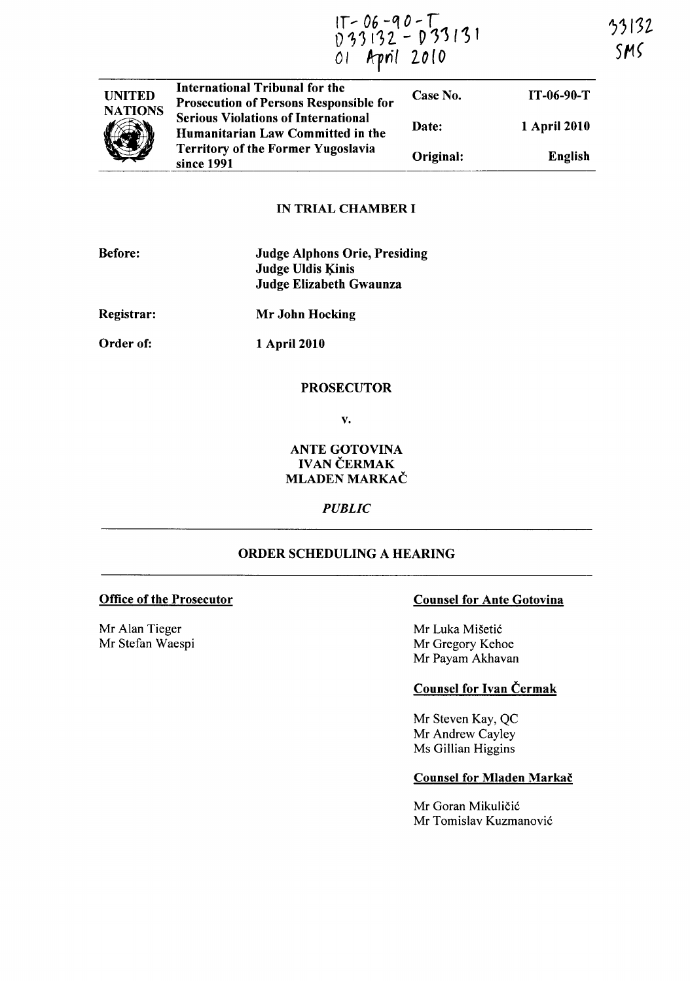If ... 06 *-'10* - r 33132  $0.33132 - 0.33131$ SMS 01 April 2010

| <b>UNITED</b><br><b>NATIONS</b> | <b>International Tribunal for the</b><br><b>Prosecution of Persons Responsible for</b> | Case No.  | $IT-06-90-T$ |
|---------------------------------|----------------------------------------------------------------------------------------|-----------|--------------|
|                                 | <b>Serious Violations of International</b><br>Humanitarian Law Committed in the        | Date:     | 1 April 2010 |
|                                 | <b>Territory of the Former Yugoslavia</b><br>since 1991                                | Original: | English      |

## IN TRIAL CHAMBER I

| <b>Before:</b> | <b>Judge Alphons Orie, Presiding</b> |  |
|----------------|--------------------------------------|--|
|                | <b>Judge Uldis Kinis</b>             |  |
|                | Judge Elizabeth Gwaunza              |  |
| Registrar:     | Mr John Hocking                      |  |

Order of:

1 April 2010

# PROSECUTOR

v.

# ANTE GOTOVINA **IVAN ČERMAK** MLADEN MARKAČ

### *PUBLIC*

# ORDER SCHEDULING A HEARING

Mr Alan Tieger Mr Stefan Waespi

# Office of the Prosecutor Counsel for Ante Gotovina

Mr Luka Mišetić Mr Gregory Kehoe Mr Payam Akhavan

# Counsel for Ivan Cermak

Mr Steven Kay, QC Mr Andrew Cayley Ms GiIlian Higgins

# Counsel for Mladen Markač

Mr Goran Mikuličić Mr Tomislav Kuzmanovic